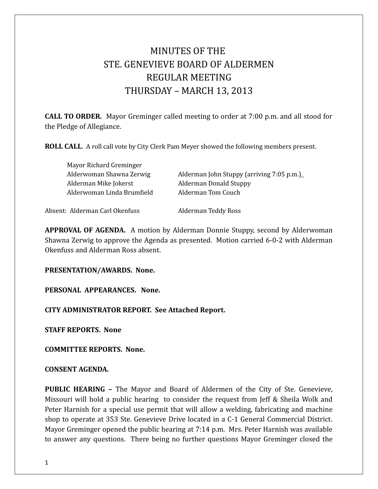# MINUTES OF THE STE. GENEVIEVE BOARD OF ALDERMEN REGULAR MEETING THURSDAY – MARCH 13, 2013

**CALL TO ORDER.** Mayor Greminger called meeting to order at 7:00 p.m. and all stood for the Pledge of Allegiance.

**ROLL CALL**. A roll call vote by City Clerk Pam Meyer showed the following members present.

| Mayor Richard Greminger        |                                           |
|--------------------------------|-------------------------------------------|
| Alderwoman Shawna Zerwig       | Alderman John Stuppy (arriving 7:05 p.m.) |
| Alderman Mike Jokerst          | <b>Alderman Donald Stuppy</b>             |
| Alderwoman Linda Brumfield     | Alderman Tom Couch                        |
|                                |                                           |
| Absent: Alderman Carl Okenfuss | Alderman Teddy Ross                       |

**APPROVAL OF AGENDA.** A motion by Alderman Donnie Stuppy, second by Alderwoman Shawna Zerwig to approve the Agenda as presented. Motion carried 6-0-2 with Alderman Okenfuss and Alderman Ross absent.

**PRESENTATION/AWARDS. None.** 

**PERSONAL APPEARANCES. None.** 

**CITY ADMINISTRATOR REPORT. See Attached Report.** 

**STAFF REPORTS. None** 

**COMMITTEE REPORTS. None.** 

#### **CONSENT AGENDA.**

**PUBLIC HEARING –** The Mayor and Board of Aldermen of the City of Ste. Genevieve, Missouri will hold a public hearing to consider the request from Jeff & Sheila Wolk and Peter Harnish for a special use permit that will allow a welding, fabricating and machine shop to operate at 353 Ste. Genevieve Drive located in a C-1 General Commercial District. Mayor Greminger opened the public hearing at 7:14 p.m. Mrs. Peter Harnish was available to answer any questions. There being no further questions Mayor Greminger closed the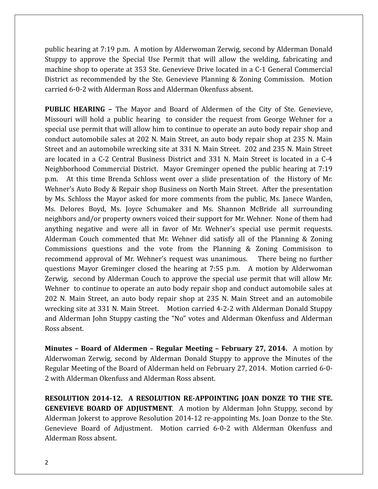public hearing at 7:19 p.m. A motion by Alderwoman Zerwig, second by Alderman Donald Stuppy to approve the Special Use Permit that will allow the welding, fabricating and machine shop to operate at 353 Ste. Genevieve Drive located in a C-1 General Commercial District as recommended by the Ste. Genevieve Planning & Zoning Commission. Motion carried 6-0-2 with Alderman Ross and Alderman Okenfuss absent.

**PUBLIC HEARING –** The Mayor and Board of Aldermen of the City of Ste. Genevieve, Missouri will hold a public hearing to consider the request from George Wehner for a special use permit that will allow him to continue to operate an auto body repair shop and conduct automobile sales at 202 N. Main Street, an auto body repair shop at 235 N. Main Street and an automobile wrecking site at 331 N. Main Street. 202 and 235 N. Main Street are located in a C-2 Central Business District and 331 N. Main Street is located in a C-4 Neighborhood Commercial District. Mayor Greminger opened the public hearing at 7:19 p.m. At this time Brenda Schloss went over a slide presentation of the History of Mr. Wehner's Auto Body & Repair shop Business on North Main Street. After the presentation by Ms. Schloss the Mayor asked for more comments from the public, Ms. Janece Warden, Ms. Delores Boyd, Ms. Joyce Schumaker and Ms. Shannon McBride all surrounding neighbors and/or property owners voiced their support for Mr. Wehner. None of them had anything negative and were all in favor of Mr. Wehner's special use permit requests. Alderman Couch commented that Mr. Wehner did satisfy all of the Planning & Zoning Commissions questions and the vote from the Planning & Zoning Commisison to recommend approval of Mr. Wehner's request was unanimous. There being no further questions Mayor Greminger closed the hearing at 7:55 p.m. A motion by Alderwoman Zerwig, second by Alderman Couch to approve the special use permit that will allow Mr. Wehner to continue to operate an auto body repair shop and conduct automobile sales at 202 N. Main Street, an auto body repair shop at 235 N. Main Street and an automobile wrecking site at 331 N. Main Street. Motion carried 4-2-2 with Alderman Donald Stuppy and Alderman John Stuppy casting the "No" votes and Alderman Okenfuss and Alderman Ross absent.

**Minutes – Board of Aldermen – Regular Meeting – February 27, 2014.** A motion by Alderwoman Zerwig, second by Alderman Donald Stuppy to approve the Minutes of the Regular Meeting of the Board of Alderman held on February 27, 2014. Motion carried 6-0- 2 with Alderman Okenfuss and Alderman Ross absent.

**RESOLUTION 2014-12. A RESOLUTION RE-APPOINTING JOAN DONZE TO THE STE. GENEVIEVE BOARD OF ADJUSTMENT**. A motion by Alderman John Stuppy, second by Alderman Jokerst to approve Resolution 2014-12 re-appointing Ms. Joan Donze to the Ste. Genevieve Board of Adjustment. Motion carried 6-0-2 with Alderman Okenfuss and Alderman Ross absent.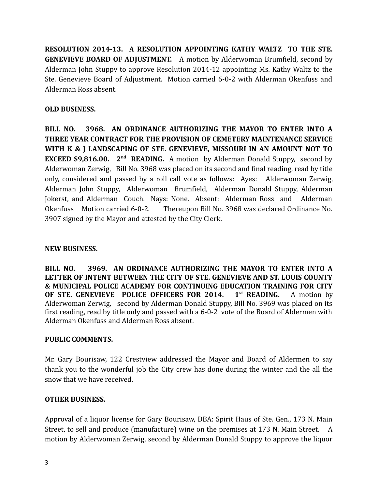**RESOLUTION 2014-13. A RESOLUTION APPOINTING KATHY WALTZ TO THE STE. GENEVIEVE BOARD OF ADJUSTMENT.** A motion by Alderwoman Brumfield, second by Alderman John Stuppy to approve Resolution 2014-12 appointing Ms. Kathy Waltz to the Ste. Genevieve Board of Adjustment. Motion carried 6-0-2 with Alderman Okenfuss and Alderman Ross absent.

#### **OLD BUSINESS.**

**BILL NO. 3968. AN ORDINANCE AUTHORIZING THE MAYOR TO ENTER INTO A THREE YEAR CONTRACT FOR THE PROVISION OF CEMETERY MAINTENANCE SERVICE WITH K & J LANDSCAPING OF STE. GENEVIEVE, MISSOURI IN AN AMOUNT NOT TO EXCEED \$9,816.00.** 2<sup>nd</sup> **READING.** A motion by Alderman Donald Stuppy, second by Alderwoman Zerwig, Bill No. 3968 was placed on its second and final reading, read by title only, considered and passed by a roll call vote as follows: Ayes: Alderwoman Zerwig, Alderman John Stuppy, Alderwoman Brumfield, Alderman Donald Stuppy, Alderman Jokerst, and Alderman Couch. Nays: None. Absent: Alderman Ross and Alderman Okenfuss Motion carried 6-0-2. Thereupon Bill No. 3968 was declared Ordinance No. 3907 signed by the Mayor and attested by the City Clerk.

#### **NEW BUSINESS.**

**BILL NO. 3969. AN ORDINANCE AUTHORIZING THE MAYOR TO ENTER INTO A LETTER OF INTENT BETWEEN THE CITY OF STE. GENEVIEVE AND ST. LOUIS COUNTY & MUNICIPAL POLICE ACADEMY FOR CONTINUING EDUCATION TRAINING FOR CITY OF STE. GENEVIEVE POLICE OFFICERS FOR 2014. 1st READING.** A motion by Alderwoman Zerwig, second by Alderman Donald Stuppy, Bill No. 3969 was placed on its first reading, read by title only and passed with a 6-0-2 vote of the Board of Aldermen with Alderman Okenfuss and Alderman Ross absent.

## **PUBLIC COMMENTS.**

Mr. Gary Bourisaw, 122 Crestview addressed the Mayor and Board of Aldermen to say thank you to the wonderful job the City crew has done during the winter and the all the snow that we have received.

## **OTHER BUSINESS.**

Approval of a liquor license for Gary Bourisaw, DBA: Spirit Haus of Ste. Gen., 173 N. Main Street, to sell and produce (manufacture) wine on the premises at 173 N. Main Street. A motion by Alderwoman Zerwig, second by Alderman Donald Stuppy to approve the liquor